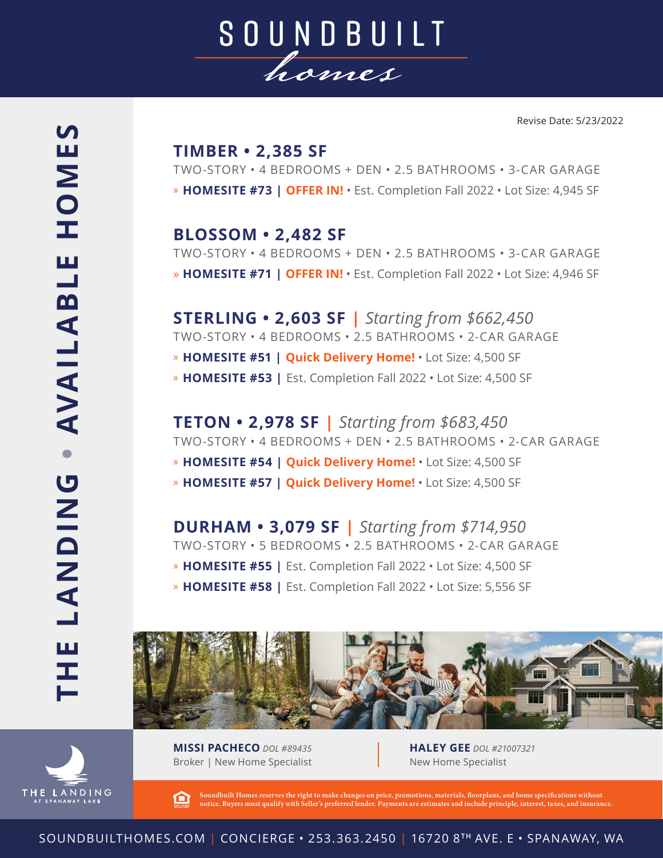

## HOMES **• AVAILABLE HOMES** Щ - AVAILABL **THE LANDING LANDING** Щ H ь

HE LANDING

## **TIMBER • 2,385 SF**

TWO-STORY • 4 BEDROOMS + DEN • 2.5 BATHROOMS • 3-CAR GARAGE » **HOMESITE #73 | OFFER IN!** • Est. Completion Fall 2022 • Lot Size: 4,945 SF

**BLOSSOM • 2,482 SF** TWO-STORY • 4 BEDROOMS + DEN • 2.5 BATHROOMS • 3-CAR GARAGE » **HOMESITE #71 | OFFER IN!** • Est. Completion Fall 2022 • Lot Size: 4,946 SF

**STERLING • 2,603 SF |** *Starting from \$662,450* TWO-STORY • 4 BEDROOMS • 2.5 BATHROOMS • 2-CAR GARAGE » **HOMESITE #51 | Quick Delivery Home!** • Lot Size: 4,500 SF » **HOMESITE #53 |** Est. Completion Fall 2022 • Lot Size: 4,500 SF

**TETON • 2,978 SF |** *Starting from \$683,450* TWO-STORY • 4 BEDROOMS + DEN • 2.5 BATHROOMS • 2-CAR GARAGE » **HOMESITE #54 | Quick Delivery Home!** • Lot Size: 4,500 SF » **HOMESITE #57 | Quick Delivery Home!** • Lot Size: 4,500 SF

**DURHAM • 3,079 SF |** *Starting from \$714,950* TWO-STORY • 5 BEDROOMS • 2.5 BATHROOMS • 2-CAR GARAGE » **HOMESITE #55 |** Est. Completion Fall 2022 • Lot Size: 4,500 SF » **HOMESITE #58 |** Est. Completion Fall 2022 • Lot Size: 5,556 SF



**MISSI PACHECO** *DOL #89435* Broker | New Home Specialist **HALEY GEE** *DOL #21007321* New Home Specialist

**Soundbuilt Homes reserves the right to make changes on price, promotions, materials, floorplans, and home specifications without**  臼 rs must qualify with Seller's preferred lender. Payments are estimates and include principle, interest, taxes, and insurance.